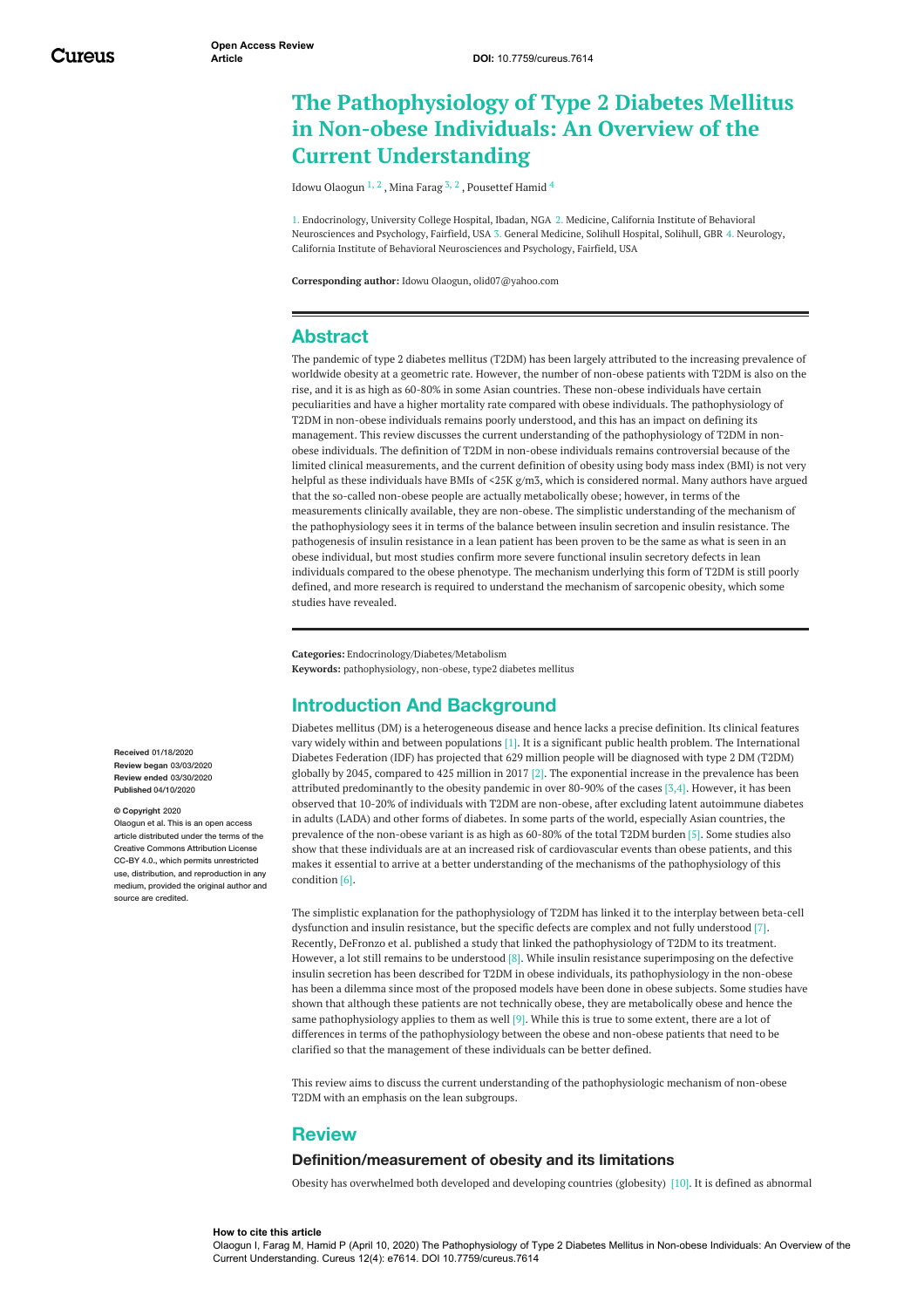# **The Pathophysiology of Type 2 Diabetes Mellitus in Non-obese Individuals: An Overview of the Current Understanding**

Idowu [Olaogun](https://www.cureus.com/users/144568-idowu-olaogun)  $^{1, 2}$  , Mina [Farag](https://www.cureus.com/users/144383-mina-farag)  $^{3, 2}$  , [Pousettef](https://www.cureus.com/users/125651-pousette-hamid) Hamid  $^4$ 

1. Endocrinology, University College Hospital, Ibadan, NGA 2. Medicine, California Institute of Behavioral Neurosciences and Psychology, Fairfield, USA 3. General Medicine, Solihull Hospital, Solihull, GBR 4. Neurology, California Institute of Behavioral Neurosciences and Psychology, Fairfield, USA

**Corresponding author:** Idowu Olaogun, olid07@yahoo.com

# **Abstract**

The pandemic of type 2 diabetes mellitus (T2DM) has been largely attributed to the increasing prevalence of worldwide obesity at a geometric rate. However, the number of non-obese patients with T2DM is also on the rise, and it is as high as 60-80% in some Asian countries. These non-obese individuals have certain peculiarities and have a higher mortality rate compared with obese individuals. The pathophysiology of T2DM in non-obese individuals remains poorly understood, and this has an impact on defining its management. This review discusses the current understanding of the pathophysiology of T2DM in nonobese individuals. The definition of T2DM in non-obese individuals remains controversial because of the limited clinical measurements, and the current definition of obesity using body mass index (BMI) is not very helpful as these individuals have BMIs of <25K g/m3, which is considered normal. Many authors have argued that the so-called non-obese people are actually metabolically obese; however, in terms of the measurements clinically available, they are non-obese. The simplistic understanding of the mechanism of the pathophysiology sees it in terms of the balance between insulin secretion and insulin resistance. The pathogenesis of insulin resistance in a lean patient has been proven to be the same as what is seen in an obese individual, but most studies confirm more severe functional insulin secretory defects in lean individuals compared to the obese phenotype. The mechanism underlying this form of T2DM is still poorly defined, and more research is required to understand the mechanism of sarcopenic obesity, which some studies have revealed.

**Categories:** Endocrinology/Diabetes/Metabolism **Keywords:** pathophysiology, non-obese, type2 diabetes mellitus

# **Introduction And Background**

Diabetes mellitus (DM) is a heterogeneous disease and hence lacks a precise definition. Its clinical features vary widely within and between populations [1]. It is a significant public health problem. The International Diabetes Federation (IDF) has projected that 629 million people will be diagnosed with type 2 DM (T2DM) globally by 2045, compared to 425 million in 2017 [2]. The exponential increase in the prevalence has been attributed predominantly to the obesity pandemic in over 80-90% of the cases [3,4]. However, it has been observed that 10-20% of individuals with T2DM are non-obese, after excluding latent autoimmune diabetes in adults (LADA) and other forms of diabetes. In some parts of the world, especially Asian countries, the prevalence of the non-obese variant is as high as 60-80% of the total T2DM burden [5]. Some studies also show that these individuals are at an increased risk of cardiovascular events than obese patients, and this makes it essential to arrive at a better understanding of the mechanisms of the pathophysiology of this condition [6].

The simplistic explanation for the pathophysiology of T2DM has linked it to the interplay between beta-cell dysfunction and insulin resistance, but the specific defects are complex and not fully understood [7]. Recently, DeFronzo et al. published a study that linked the pathophysiology of T2DM to its treatment. However, a lot still remains to be understood  $[8]$ . While insulin resistance superimposing on the defective insulin secretion has been described for T2DM in obese individuals, its pathophysiology in the non-obese has been a dilemma since most of the proposed models have been done in obese subjects. Some studies have shown that although these patients are not technically obese, they are metabolically obese and hence the same pathophysiology applies to them as well  $[9]$ . While this is true to some extent, there are a lot of differences in terms of the pathophysiology between the obese and non-obese patients that need to be clarified so that the management of these individuals can be better defined.

This review aims to discuss the current understanding of the pathophysiologic mechanism of non-obese T2DM with an emphasis on the lean subgroups.

## **Review**

### **Definition/measurement of obesity and its limitations**

Obesity has overwhelmed both developed and developing countries (globesity) [10]. It is defined as abnormal

**Received** 01/18/2020 **Review began** 03/03/2020 **Review ended** 03/30/2020 **Published** 04/10/2020

#### **© Copyright** 2020

Olaogun et al. This is an open access article distributed under the terms of the Creative Commons Attribution License CC-BY 4.0., which permits unrestricted use, distribution, and reproduction in any medium, provided the original author and source are credited.

Olaogun I, Farag M, Hamid P (April 10, 2020) The Pathophysiology of Type 2 Diabetes Mellitus in Non-obese Individuals: An Overview of the Current Understanding. Cureus 12(4): e7614. DOI 10.7759/cureus.7614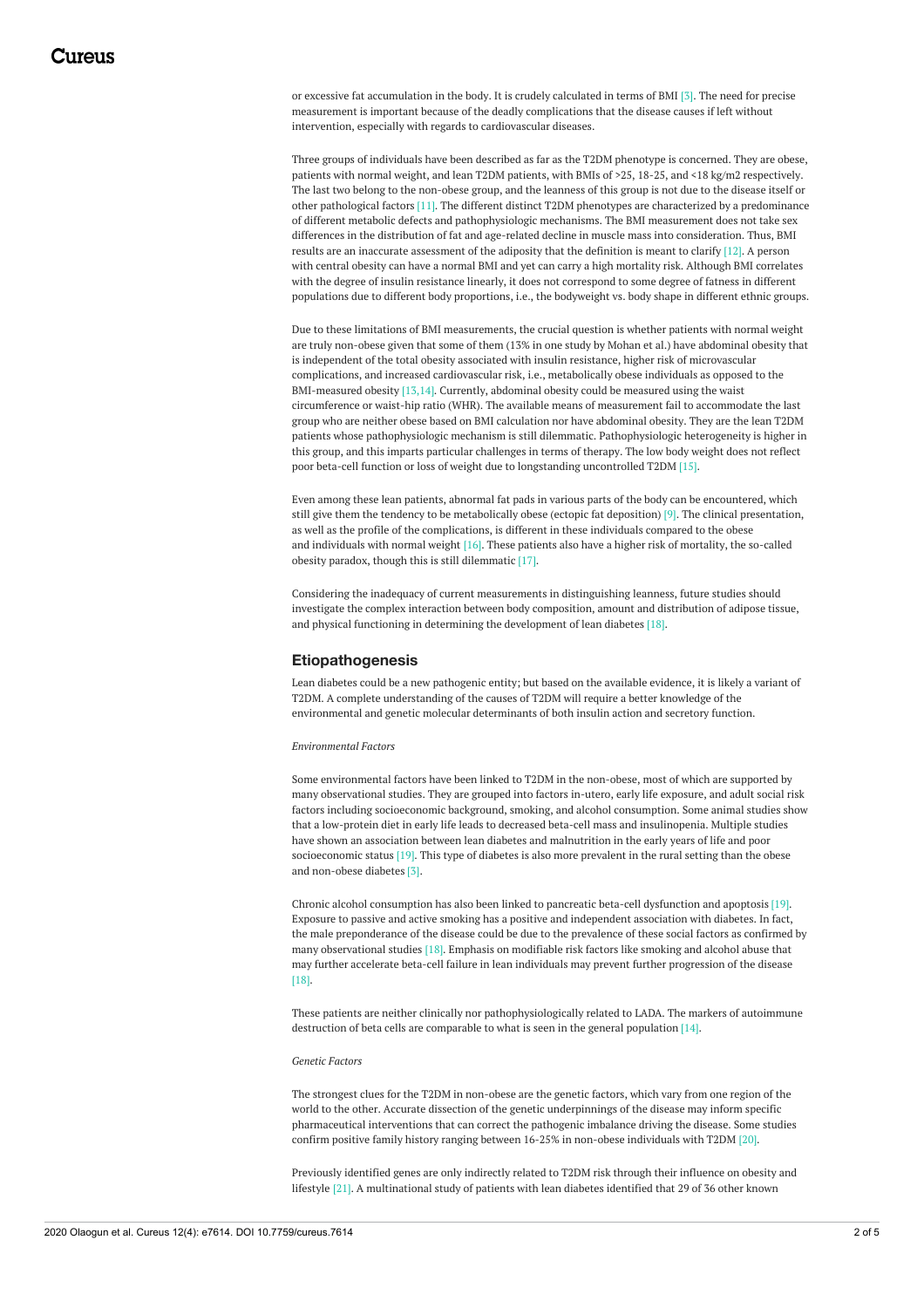or excessive fat accumulation in the body. It is crudely calculated in terms of BMI [3]. The need for precise measurement is important because of the deadly complications that the disease causes if left without intervention, especially with regards to cardiovascular diseases.

Three groups of individuals have been described as far as the T2DM phenotype is concerned. They are obese, patients with normal weight, and lean T2DM patients, with BMIs of >25, 18-25, and <18 kg/m2 respectively. The last two belong to the non-obese group, and the leanness of this group is not due to the disease itself or other pathological factors [11]. The different distinct T2DM phenotypes are characterized by a predominance of different metabolic defects and pathophysiologic mechanisms. The BMI measurement does not take sex differences in the distribution of fat and age-related decline in muscle mass into consideration. Thus, BMI results are an inaccurate assessment of the adiposity that the definition is meant to clarify [12]. A person with central obesity can have a normal BMI and yet can carry a high mortality risk. Although BMI correlates with the degree of insulin resistance linearly, it does not correspond to some degree of fatness in different populations due to different body proportions, i.e., the bodyweight vs. body shape in different ethnic groups.

Due to these limitations of BMI measurements, the crucial question is whether patients with normal weight are truly non-obese given that some of them (13% in one study by Mohan et al.) have abdominal obesity that is independent of the total obesity associated with insulin resistance, higher risk of microvascular complications, and increased cardiovascular risk, i.e., metabolically obese individuals as opposed to the BMI-measured obesity [13,14]. Currently, abdominal obesity could be measured using the waist circumference or waist-hip ratio (WHR). The available means of measurement fail to accommodate the last group who are neither obese based on BMI calculation nor have abdominal obesity. They are the lean T2DM patients whose pathophysiologic mechanism is still dilemmatic. Pathophysiologic heterogeneity is higher in this group, and this imparts particular challenges in terms of therapy. The low body weight does not reflect poor beta-cell function or loss of weight due to longstanding uncontrolled T2DM [15].

Even among these lean patients, abnormal fat pads in various parts of the body can be encountered, which still give them the tendency to be metabolically obese (ectopic fat deposition) [9]. The clinical presentation, as well as the profile of the complications, is different in these individuals compared to the obese and individuals with normal weight [16]. These patients also have a higher risk of mortality, the so-called obesity paradox, though this is still dilemmatic [17].

Considering the inadequacy of current measurements in distinguishing leanness, future studies should investigate the complex interaction between body composition, amount and distribution of adipose tissue, and physical functioning in determining the development of lean diabetes [18].

#### **Etiopathogenesis**

Lean diabetes could be a new pathogenic entity; but based on the available evidence, it is likely a variant of T2DM. A complete understanding of the causes of T2DM will require a better knowledge of the environmental and genetic molecular determinants of both insulin action and secretory function.

#### *Environmental Factors*

Some environmental factors have been linked to T2DM in the non-obese, most of which are supported by many observational studies. They are grouped into factors in-utero, early life exposure, and adult social risk factors including socioeconomic background, smoking, and alcohol consumption. Some animal studies show that a low-protein diet in early life leads to decreased beta-cell mass and insulinopenia. Multiple studies have shown an association between lean diabetes and malnutrition in the early years of life and poor socioeconomic status [19]. This type of diabetes is also more prevalent in the rural setting than the obese and non-obese diabetes [3].

Chronic alcohol consumption has also been linked to pancreatic beta-cell dysfunction and apoptosis [19]. Exposure to passive and active smoking has a positive and independent association with diabetes. In fact, the male preponderance of the disease could be due to the prevalence of these social factors as confirmed by many observational studies [18]. Emphasis on modifiable risk factors like smoking and alcohol abuse that may further accelerate beta-cell failure in lean individuals may prevent further progression of the disease [18].

These patients are neither clinically nor pathophysiologically related to LADA. The markers of autoimmune destruction of beta cells are comparable to what is seen in the general population [14].

#### *Genetic Factors*

The strongest clues for the T2DM in non-obese are the genetic factors, which vary from one region of the world to the other. Accurate dissection of the genetic underpinnings of the disease may inform specific pharmaceutical interventions that can correct the pathogenic imbalance driving the disease. Some studies confirm positive family history ranging between 16-25% in non-obese individuals with T2DM [20].

Previously identified genes are only indirectly related to T2DM risk through their influence on obesity and lifestyle [21]. A multinational study of patients with lean diabetes identified that 29 of 36 other known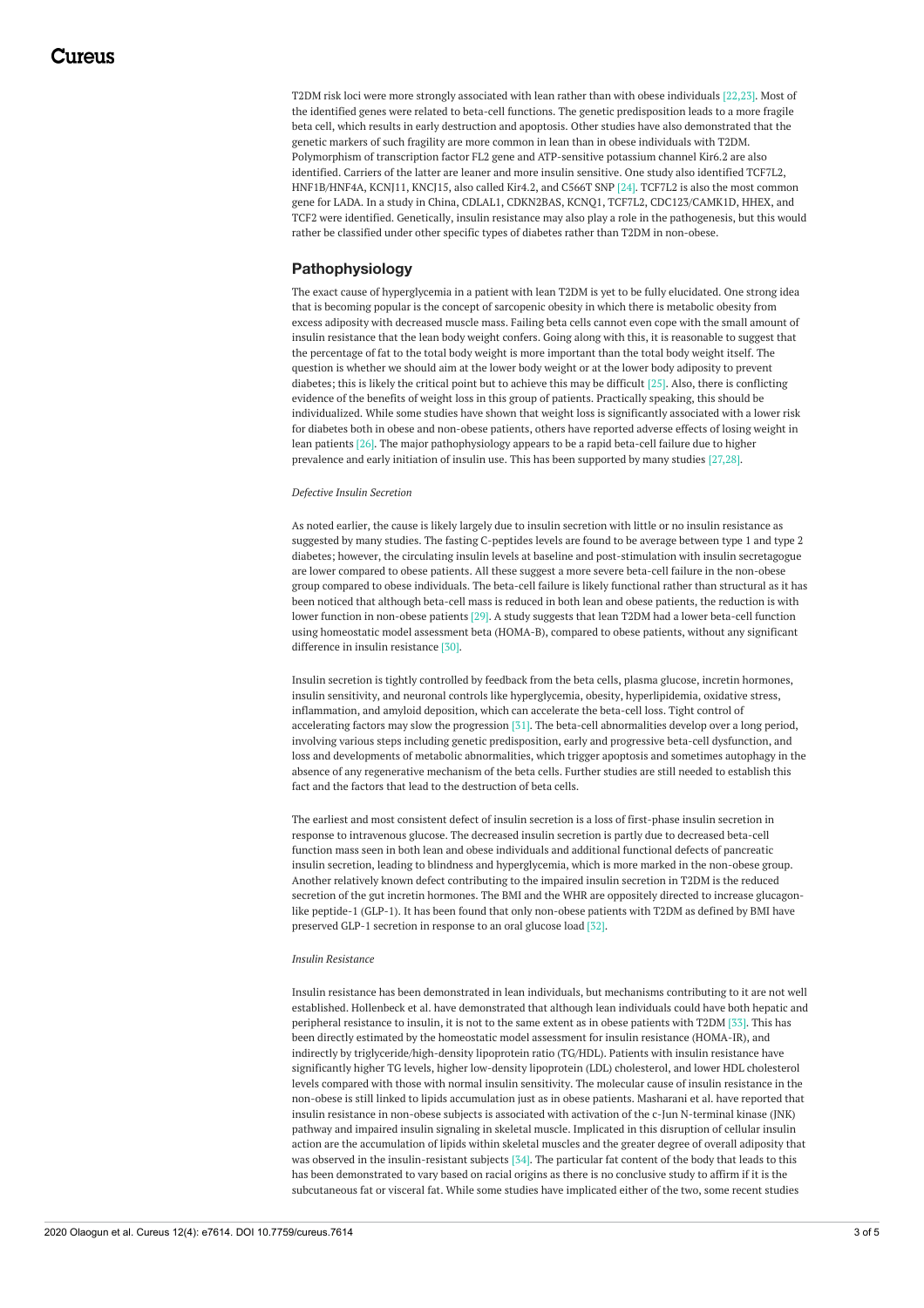T2DM risk loci were more strongly associated with lean rather than with obese individuals [22,23]. Most of the identified genes were related to beta-cell functions. The genetic predisposition leads to a more fragile beta cell, which results in early destruction and apoptosis. Other studies have also demonstrated that the genetic markers of such fragility are more common in lean than in obese individuals with T2DM. Polymorphism of transcription factor FL2 gene and ATP-sensitive potassium channel Kir6.2 are also identified. Carriers of the latter are leaner and more insulin sensitive. One study also identified TCF7L2, HNF1B/HNF4A, KCNJ11, KNCJ15, also called Kir4.2, and C566T SNP [24]. TCF7L2 is also the most common gene for LADA. In a study in China, CDLAL1, CDKN2BAS, KCNQ1, TCF7L2, CDC123/CAMK1D, HHEX, and TCF2 were identified. Genetically, insulin resistance may also play a role in the pathogenesis, but this would rather be classified under other specific types of diabetes rather than T2DM in non-obese.

### **Pathophysiology**

The exact cause of hyperglycemia in a patient with lean T2DM is yet to be fully elucidated. One strong idea that is becoming popular is the concept of sarcopenic obesity in which there is metabolic obesity from excess adiposity with decreased muscle mass. Failing beta cells cannot even cope with the small amount of insulin resistance that the lean body weight confers. Going along with this, it is reasonable to suggest that the percentage of fat to the total body weight is more important than the total body weight itself. The question is whether we should aim at the lower body weight or at the lower body adiposity to prevent diabetes; this is likely the critical point but to achieve this may be difficult [25]. Also, there is conflicting evidence of the benefits of weight loss in this group of patients. Practically speaking, this should be individualized. While some studies have shown that weight loss is significantly associated with a lower risk for diabetes both in obese and non-obese patients, others have reported adverse effects of losing weight in lean patients [26]. The major pathophysiology appears to be a rapid beta-cell failure due to higher prevalence and early initiation of insulin use. This has been supported by many studies [27,28].

#### *Defective Insulin Secretion*

As noted earlier, the cause is likely largely due to insulin secretion with little or no insulin resistance as suggested by many studies. The fasting C-peptides levels are found to be average between type 1 and type 2 diabetes; however, the circulating insulin levels at baseline and post-stimulation with insulin secretagogue are lower compared to obese patients. All these suggest a more severe beta-cell failure in the non-obese group compared to obese individuals. The beta-cell failure is likely functional rather than structural as it has been noticed that although beta-cell mass is reduced in both lean and obese patients, the reduction is with lower function in non-obese patients [29]. A study suggests that lean T2DM had a lower beta-cell function using homeostatic model assessment beta (HOMA-B), compared to obese patients, without any significant difference in insulin resistance [30].

Insulin secretion is tightly controlled by feedback from the beta cells, plasma glucose, incretin hormones, insulin sensitivity, and neuronal controls like hyperglycemia, obesity, hyperlipidemia, oxidative stress, inflammation, and amyloid deposition, which can accelerate the beta-cell loss. Tight control of accelerating factors may slow the progression [31]. The beta-cell abnormalities develop over a long period, involving various steps including genetic predisposition, early and progressive beta-cell dysfunction, and loss and developments of metabolic abnormalities, which trigger apoptosis and sometimes autophagy in the absence of any regenerative mechanism of the beta cells. Further studies are still needed to establish this fact and the factors that lead to the destruction of beta cells.

The earliest and most consistent defect of insulin secretion is a loss of first-phase insulin secretion in response to intravenous glucose. The decreased insulin secretion is partly due to decreased beta-cell function mass seen in both lean and obese individuals and additional functional defects of pancreatic insulin secretion, leading to blindness and hyperglycemia, which is more marked in the non-obese group. Another relatively known defect contributing to the impaired insulin secretion in T2DM is the reduced secretion of the gut incretin hormones. The BMI and the WHR are oppositely directed to increase glucagonlike peptide-1 (GLP-1). It has been found that only non-obese patients with T2DM as defined by BMI have preserved GLP-1 secretion in response to an oral glucose load [32].

#### *Insulin Resistance*

Insulin resistance has been demonstrated in lean individuals, but mechanisms contributing to it are not well established. Hollenbeck et al. have demonstrated that although lean individuals could have both hepatic and peripheral resistance to insulin, it is not to the same extent as in obese patients with T2DM [33]. This has been directly estimated by the homeostatic model assessment for insulin resistance (HOMA-IR), and indirectly by triglyceride/high-density lipoprotein ratio (TG/HDL). Patients with insulin resistance have significantly higher TG levels, higher low-density lipoprotein (LDL) cholesterol, and lower HDL cholesterol levels compared with those with normal insulin sensitivity. The molecular cause of insulin resistance in the non-obese is still linked to lipids accumulation just as in obese patients. Masharani et al. have reported that insulin resistance in non-obese subjects is associated with activation of the c-Jun N-terminal kinase (JNK) pathway and impaired insulin signaling in skeletal muscle. Implicated in this disruption of cellular insulin action are the accumulation of lipids within skeletal muscles and the greater degree of overall adiposity that was observed in the insulin-resistant subjects [34]. The particular fat content of the body that leads to this has been demonstrated to vary based on racial origins as there is no conclusive study to affirm if it is the subcutaneous fat or visceral fat. While some studies have implicated either of the two, some recent studies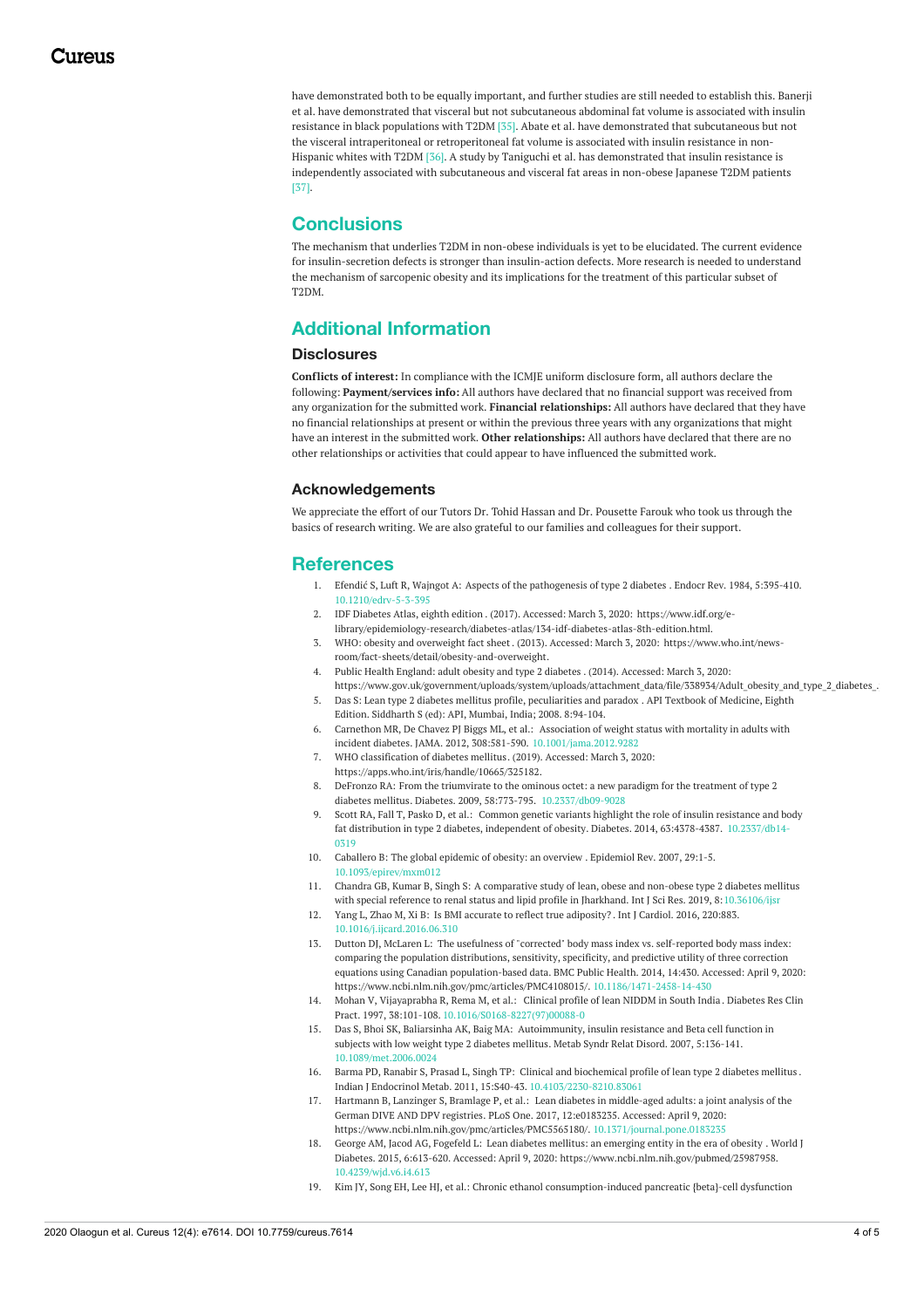have demonstrated both to be equally important, and further studies are still needed to establish this. Banerji et al. have demonstrated that visceral but not subcutaneous abdominal fat volume is associated with insulin resistance in black populations with T2DM [35]. Abate et al. have demonstrated that subcutaneous but not the visceral intraperitoneal or retroperitoneal fat volume is associated with insulin resistance in non-Hispanic whites with T2DM [36]. A study by Taniguchi et al. has demonstrated that insulin resistance is independently associated with subcutaneous and visceral fat areas in non-obese Japanese T2DM patients [37].

# **Conclusions**

The mechanism that underlies T2DM in non-obese individuals is yet to be elucidated. The current evidence for insulin-secretion defects is stronger than insulin-action defects. More research is needed to understand the mechanism of sarcopenic obesity and its implications for the treatment of this particular subset of T2DM.

# **Additional Information**

### **Disclosures**

**Conflicts of interest:** In compliance with the ICMJE uniform disclosure form, all authors declare the following: **Payment/services info:** All authors have declared that no financial support was received from any organization for the submitted work. **Financial relationships:** All authors have declared that they have no financial relationships at present or within the previous three years with any organizations that might have an interest in the submitted work. **Other relationships:** All authors have declared that there are no other relationships or activities that could appear to have influenced the submitted work.

### **Acknowledgements**

We appreciate the effort of our Tutors Dr. Tohid Hassan and Dr. Pousette Farouk who took us through the basics of research writing. We are also grateful to our families and colleagues for their support.

# **References**

- 1. Efendić S, Luft R, Wajngot A: Aspects of the [pathogenesis](https://dx.doi.org/10.1210/edrv-5-3-395) of type 2 diabetes . Endocr Rev. 1984, 5:395-410. [10.1210/edrv-5-3-395](https://dx.doi.org/10.1210/edrv-5-3-395)
- 2. IDF [Diabetes](https://www.idf.org/e-library/epidemiology-research/diabetes-atlas/134-idf-diabetes-atlas-8th-edition.html) Atlas, eighth edition . (2017). Accessed: March 3, 2020: https://www.idf.org/e[library/epidemiology-research/diabetes-atlas/134-idf-diabetes-atlas-8th-edition.html.](https://www.idf.org/e-library/epidemiology-research/diabetes-atlas/134-idf-diabetes-atlas-8th-edition.html)
- 3. WHO: obesity and [overweight](https://www.who.int/news-room/fact-sheets/detail/obesity-and-overweight) fact sheet. (2013). Accessed: March 3, 2020: https://www.who.int/news[room/fact-sheets/detail/obesity-and-overweight.](https://www.who.int/news-room/fact-sheets/detail/obesity-and-overweight)
- 4. Public Health [England:](https://www.gov.uk/government/uploads/system/uploads/attachment_data/file/338934/Adult_obesity_and_type_2_diabetes_.pdf) adult obesity and type 2 diabetes . (2014). Accessed: March 3, 2020: https://www.gov.uk/government/uploads/system/uploads/attachment\_data/file/338934/Adult\_obesity\_and\_type\_2\_diabetes\_.
- 5. Das S: Lean type 2 diabetes mellitus profile, [peculiarities](https://scholar.google.com/scholar_lookup?title=Lean+Type+2+Diabetes+Mellitus:+Profile,+peculiarities+and+paradox.+API+textbook+of+Medicine.+Siddharth+N,+editor,+8th+ed&author=S+Das&publication_year=2008&) and paradox . API Textbook of Medicine, Eighth Edition. Siddharth S (ed): API, Mumbai, India; 2008. 8:94-104.
- 6. Carnethon MR, De Chavez PJ Biggs ML, et al.: Association of weight status with mortality in adults with incident diabetes. JAMA. 2012, 308:581-590. [10.1001/jama.2012.9282](https://dx.doi.org/10.1001/jama.2012.9282)
- 7. WHO [classification](https://apps.who.int/iris/handle/10665/325182) of diabetes mellitus. (2019). Accessed: March 3, 2020:
- <https://apps.who.int/iris/handle/10665/325182>.
- 8. DeFronzo RA: From the triumvirate to the ominous octet: a new paradigm for the treatment of type 2 diabetes mellitus. Diabetes. 2009, 58:773-795. [10.2337/db09-9028](https://dx.doi.org/10.2337/db09-9028)
- Scott RA, Fall T, Pasko D, et al.: Common genetic variants highlight the role of insulin resistance and body fat distribution in type 2 diabetes, independent of obesity. Diabetes. 2014, [63:4378-4387.](https://dx.doi.org/10.2337/db14-0319) [10.2337/db14-](https://dx.doi.org/10.2337/db14-0319) 0319
- 10. Caballero B: The global [epidemic](https://dx.doi.org/10.1093/epirev/mxm012 ) of obesity: an overview . Epidemiol Rev. 2007, 29:1-5. [10.1093/epirev/mxm012](https://dx.doi.org/10.1093/epirev/mxm012 )
- 11. Chandra GB, Kumar B, Singh S: A comparative study of lean, obese and non-obese type 2 diabetes mellitus with special reference to renal status and lipid profile in Iharkhand. Int I Sci Res. 2019, [8:10.36106/ijsr](https://dx.doi.org/10.36106/ijsr)
- 12. Yang L, Zhao M, Xi B: Is BMI accurate to reflect true [adiposity?](https://dx.doi.org/10.1016/j.ijcard.2016.06.310) . Int J Cardiol. 2016, 220:883. [10.1016/j.ijcard.2016.06.310](https://dx.doi.org/10.1016/j.ijcard.2016.06.310)
- 13. Dutton DJ, McLaren L: The usefulness of "corrected" body mass index vs. self-reported body mass index: comparing the population distributions, sensitivity, specificity, and predictive utility of three correction equations using Canadian [population-based](https://www.ncbi.nlm.nih.gov/pmc/articles/PMC4108015/) data. BMC Public Health. 2014, 14:430. Accessed: April 9, 2020: <https://www.ncbi.nlm.nih.gov/pmc/articles/PMC4108015/>. [10.1186/1471-2458-14-430](https://dx.doi.org/10.1186/1471-2458-14-430)
- 14. Mohan V, Vijayaprabha R, Rema M, et al.: [Clinical](https://dx.doi.org/10.1016/S0168-8227(97)00088-0) profile of lean NIDDM in South India . Diabetes Res Clin Pract. 1997, 38:101-108. [10.1016/S0168-8227\(97\)00088-0](https://dx.doi.org/10.1016/S0168-8227(97)00088-0)
- 15. Das S, Bhoi SK, Baliarsinha AK, Baig MA: [Autoimmunity,](https://dx.doi.org/10.1089/met.2006.0024) insulin resistance and Beta cell function in subjects with low weight type 2 diabetes mellitus. Metab Syndr Relat Disord. 2007, 5:136-141. [10.1089/met.2006.0024](https://dx.doi.org/10.1089/met.2006.0024)
- 16. Barma PD, Ranabir S, Prasad L, Singh TP: Clinical and [biochemical](https://dx.doi.org/10.4103/2230-8210.83061) profile of lean type 2 diabetes mellitus . Indian J Endocrinol Metab. 2011, 15:S40-43. [10.4103/2230-8210.83061](https://dx.doi.org/10.4103/2230-8210.83061)
- 17. Hartmann B, Lanzinger S, Bramlage P, et al.: Lean diabetes in middle-aged adults: a joint analysis of the German DIVE AND DPV registries. PLoS One. 2017, [12:e0183235.](https://www.ncbi.nlm.nih.gov/pmc/articles/PMC5565180/) Accessed: April 9, 2020: <https://www.ncbi.nlm.nih.gov/pmc/articles/PMC5565180/>. [10.1371/journal.pone.0183235](https://dx.doi.org/10.1371/journal.pone.0183235)
- 18. George AM, Jacod AG, Fogefeld L: Lean diabetes mellitus: an [emerging](https://www.ncbi.nlm.nih.gov/pubmed/25987958) entity in the era of obesity . World J Diabetes. 2015, 6:613-620. Accessed: April 9, 2020: <https://www.ncbi.nlm.nih.gov/pubmed/25987958>. [10.4239/wjd.v6.i4.613](https://dx.doi.org/10.4239/wjd.v6.i4.613)
- 19. Kim JY, Song EH, Lee HJ, et al.: Chronic ethanol [consumption-induced](https://dx.doi.org/10.1074/jbc.M110.142315) pancreatic {beta}-cell dysfunction